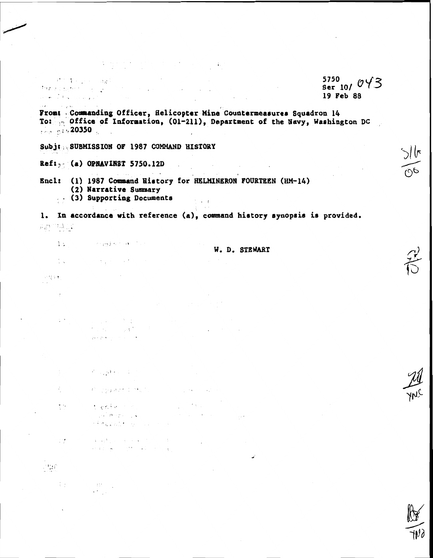5750 19 Feb 88

Fromt Commanding Officer, Helicopter Mine Countermeasures Squadron 14 To: p Office of Information, (01-211), Department of the Navy, Washington DC  $\frac{1}{2}$  and  $\frac{1}{2}$  and  $\frac{1}{2}$  and  $\frac{1}{2}$ 

 $\sim 10^{11}$  km s  $^{-1}$ 

Subj: SUBMISSION OF 1987 COMMAND HISTORY

 $Ref1 - (a)$  OPNAVINST 5750.12D

15 Store Straighton Cor

 $\frac{1}{2}$  ,  $\frac{1}{2}$ 

 $\mathcal{M}(M)$ 

 $\overline{\phantom{a}}$ 

 $\sim$   $\sim$ 

 $5.9<sub>1</sub>$ 

立法の

 $\mathcal{L} = \{ \mathbf{e}_1, \mathbf{e}_2, \ldots, \mathbf{e}_N \}$ 

a sa mga Silipina.<br>Talamang ang Silipina.<br>Premierang ang sa mga Silipina.

Salares Sal

6 - College Artistikus, college av

网络海岸海岸 经国际公司

i tarehen med andet av 1990.<br>Stadio en 1990 en 1990 en 1990 en 1990 en 1990 en 1990 en 1990 en 1990 en 1990 en 1990 en 1990 en 1990 en 199

 $\label{eq:2.1} \begin{split} \mathbf{A} &= \mathbf{q} \sqrt{\frac{2}{3}} \int_{\mathbb{R}^3} \left[ \mathbf{q} \cdot \mathbf{q} \right] \left[ \mathbf{q} \cdot \mathbf{q} \right] \left[ \mathbf{q} \cdot \mathbf{q} \right] \left[ \mathbf{q} \cdot \mathbf{q} \right] \left[ \mathbf{q} \cdot \mathbf{q} \right] \left[ \mathbf{q} \cdot \mathbf{q} \right] \left[ \mathbf{q} \cdot \mathbf{q} \right] \left[ \mathbf{q} \cdot \mathbf{q} \right] \left[ \mathbf{q} \cdot \$ 

 $\label{eq:3.1} \frac{1}{2} \left( \frac{1}{2} \right) \left( \frac{1}{2} \right) \left( \frac{1}{2} \right) \left( \frac{1}{2} \right) \left( \frac{1}{2} \right) \left( \frac{1}{2} \right) \left( \frac{1}{2} \right) \left( \frac{1}{2} \right) \left( \frac{1}{2} \right) \left( \frac{1}{2} \right) \left( \frac{1}{2} \right) \left( \frac{1}{2} \right) \left( \frac{1}{2} \right) \left( \frac{1}{2} \right) \left( \frac{1}{2} \right) \left( \frac{1}{2$ 

 $\label{eq:3.1} \frac{d\sigma}{d\sigma} \sum_{i=1}^n \frac{d\sigma}{d\sigma} \sum_{i=1}^n \frac{d\sigma}{d\sigma} \sum_{i=1}^n \frac{d\sigma}{d\sigma} \sum_{i=1}^n \frac{d\sigma}{d\sigma} \sum_{i=1}^n \frac{d\sigma}{d\sigma} \sum_{i=1}^n \frac{d\sigma}{d\sigma} \sum_{i=1}^n \frac{d\sigma}{d\sigma} \sum_{i=1}^n \frac{d\sigma}{d\sigma} \sum_{i=1}^n \frac{d\sigma}{d\sigma} \sum_{i=1}^n \frac{d\sigma}{d\sigma}$ 

.<br>Dina menang

Encl: (1) 1987 Command History for HELMINERON FOURTEEN (HM-14) (2) Narrative Summary

 $\sim$  .

 $\label{eq:3.1} \nabla \cdot \frac{1}{2} \nabla \cdot \frac{1}{2} \nabla \cdot \frac{1}{2} \nabla \cdot \frac{1}{2} \nabla \cdot \frac{1}{2} \nabla \cdot \frac{1}{2} \nabla \cdot \frac{1}{2} \nabla \cdot \frac{1}{2} \nabla \cdot \frac{1}{2} \nabla \cdot \frac{1}{2} \nabla \cdot \frac{1}{2} \nabla \cdot \frac{1}{2} \nabla \cdot \frac{1}{2} \nabla \cdot \frac{1}{2} \nabla \cdot \frac{1}{2} \nabla \cdot \frac{1}{2} \nab$ 

 $\mathcal{A}^{\mathcal{A}}$  , where  $\mathcal{A}^{\mathcal{A}}$  is the contribution of the  $\mathcal{A}$ 

(3) Supporting Documents

1. In accordance with reference (a), command history synopsis is provided.  $\mu_2$  ,  $\lambda_3$ 

 $\mathcal{F}^{\mathcal{F}}$  ,  $\mathcal{F}^{\mathcal{F}}$ 

W. D. STEWART

 $\sim$   $\pm$   $\pm$   $\pm$ 

 $\sim 10^{-11}$ 

 $\mathbb{Z}^1\mathbb{Q}^m$ 

 $\label{eq:3.1} \begin{array}{l} \left\{ \begin{array}{l} \mathbf{r} \\ \mathbf{r} \end{array} \right. \end{array} \qquad \begin{array}{l} \mathbf{0} \\ \mathbf{r} \end{array} \end{array}$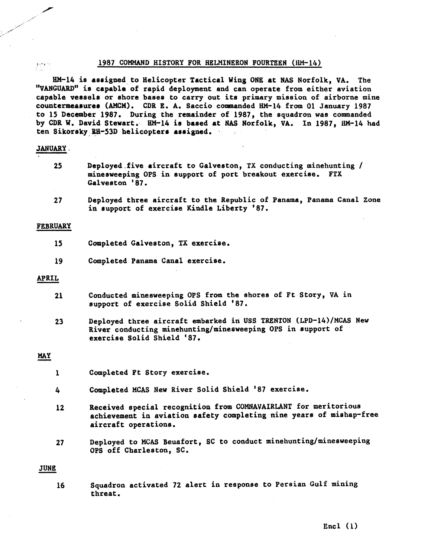## **x** 1987 **COMMAND HISTORY FOR HELMINERON FOURTEEN** (HM-14)

**HM-14 is assigned to Helicopter Tactical Wing ONE at NAS Norfolk, VA. The "VANGUARD" is capable of rapid deployment and can operate from either aviation capable vessels or shore bases to carry out its primary mission of airborne mine**  countermeasures (AMCM). CDR E. A. Saccio commanded HM-14 from 01 January 1987 **to 15 Dacember 1987. During the remainder of 1987, the squadron was commanded by CDR W. David Stewart. HM-14 is baaed at NAS Norfolk, VA. In 1987, HM-14 had ten Sikoraky** , **Eli-53D** . **helicopters assigned.**  1987 COMMAND H<br>
HM-14 is assigned to Heli<br>
"VANGUARD" is capable of rapi<br>
capable vessels or shore base<br>
countermeasures (AMCM). CDR<br>
to 15 December 1987. During<br>
by CDR W. David Stewart. HM-<br>
ten Sikorsky RH-53D helicopte

## **JANUARY.**

- **<sup>25</sup>Deployed.five aircraft to Galveston, TX conducting minehunting** / **minesweeping OPS in support of port breakout exercise.** FTX Galveston '87.
- **2 7 Deployed three aircraft to the Republic of Panama, Panama Canal Zone in support of exercise Kindle Liberty '87.**

## FEBRUARY

- **15 Cmpleted Galveston, TX exercise.**
- **19 Completed Panama Canal exercise.**

### **APRIL**

- **Conducted minesweeping OPS from the shores of Ft Story, VA in**  21 **support of exercise Solid Shield '87.**
- **MAY Deployed three aircraft embarked in USS** TRENTON **(LPD-14)/MCAS New River conducting minehunting/minesweeping** OPS **in support of exercise Solid Shield '87.**

- **1 Completed Ft Story exercise.**
- 4 **Completed MCAS New River Solid Shield '87 exercise.**
- **12 Received special recognition from** COMNAVAIRLANT **for meritorious achievement in aviation safety completing nine peare of mishap-free aircraft operations.**
- **27**<br>**JUNE**<br>16 **Deployed to MCAS Beuafort, SC to conduct minehunting/minesweeping OPS off Charleston, SC.**

**16 Squadron activated 72 alert in response to Pereian Gulf mining threat.**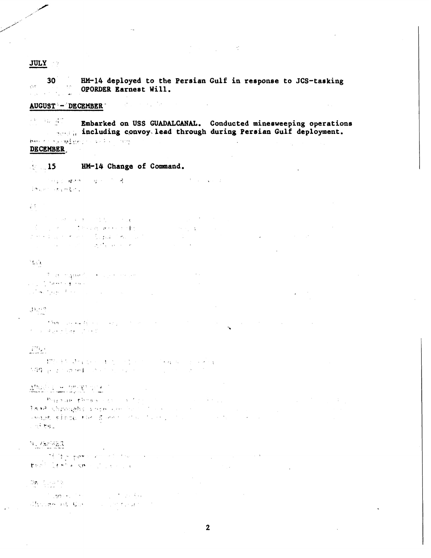## **JULY**

 $30<sup>2</sup>$ HM-14 deployed to the Persian Gulf in response to JCS-tasking  $\chi^2$  ,  $\bar{\chi}^2$ OPORDER Earnest Will.  $\hat{\vec{r}}$  .

 $\label{eq:2.1} \mathcal{L}(\mathcal{L}) = \mathcal{L}(\mathcal{L}) \mathcal{L}(\mathcal{L}) = \mathcal{L}(\mathcal{L}) \mathcal{L}(\mathcal{L})$ 

# AUGUST - DECEMBER

 $\mathcal{A}^{\mathcal{C}}=\{i\}^{\mathcal{C}}_{\mathcal{A}}=\mathcal{A}^{\mathcal{C}}_{\mathcal{A}}$  , Embarked on USS GUADALCANAL. Conducted minesweeping operations accel, including convoy lead through during Persian Gulf deployment. bus for a smight could be any **DECEMBER** 

### HM-14 Change of Command.  $\sim 15$

 $\hat{\mathcal{A}}$  , where  $\hat{\mathcal{A}}$ 网络金属植物 经经济价格 The month of the Control

## **G**

 $\mathcal{L}^{\text{max}}_{\text{max}}$  , where  $\mathcal{L}^{\text{max}}_{\text{max}}$ **The model of the Control Control**  $\label{eq:2} \mathbb{E}\left\{ \left\langle \left\langle \mathcal{L}_{\mathcal{A}}\right\rangle \right\rangle \left\langle \mathcal{A}\right\rangle \right\} =\left\langle \left\langle \mathcal{L}_{\mathcal{A}}\right\rangle \right\rangle \left\langle \mathcal{L}_{\mathcal{A}}\right\rangle \left\langle \mathcal{A}\right\rangle \left\langle \mathcal{A}\right\rangle \left\langle \mathcal{L}_{\mathcal{A}}\right\rangle \left\langle \mathcal{L}_{\mathcal{A}}\right\rangle \left\langle \mathcal{L}_{\mathcal{A}}\right\rangle \left\langle \mathcal{L}_{\mathcal{A}}\right\rangle \left\langle$  $\label{eq:2.1} \mathcal{L}(\mathcal{H}) \leq \frac{1}{2} \sum_{i=1}^n \mathcal{L}(\mathcal{H}) \leq \frac{1}{2} \sum_{i=1}^n \mathcal{L}(\mathcal{H}) \leq \frac{1}{2} \sum_{i=1}^n \mathcal{L}(\mathcal{H}) \leq \frac{1}{2} \sum_{i=1}^n \mathcal{L}(\mathcal{H}) \leq \frac{1}{2} \sum_{i=1}^n \mathcal{L}(\mathcal{H}) \leq \frac{1}{2} \sum_{i=1}^n \mathcal{L}(\mathcal{H}) \leq \frac{1}{2} \sum_{$ for explain them to figure the court  $\sim 10^6$ الموارد ووارق فليجيز

المواد والمعادي

## े देख है।

**The propriet** in the second of  $\sim 100$  km  $^{-1}$ ال الموسيقي الموسيقية التي توسيق الموسيقية التي توسيقيات الموسيقية التي توسيقيات الموسيقية التي توسيقية التي ت<br>الموسيقية التي توسيقية التي توسيقية التي توسيقية التي توسيقيات التي توسيقيات التي توسيقيات التي توسيقيات التي  $\label{eq:2.1} \frac{1}{2}\int_{\mathbb{R}^3} \left\langle \frac{1}{2} \nabla \tilde{g} \right\rangle \frac{1}{2} \int_{\mathbb{R}^3} \frac{1}{2} \left\langle \frac{1}{2} \nabla \tilde{g} \right\rangle \frac{1}{2} \left\langle \tilde{g} \right\rangle \frac{1}{2} \left\langle \tilde{g} \right\rangle \frac{1}{2} \left\langle \tilde{g} \right\rangle \frac{1}{2} \left\langle \tilde{g} \right\rangle \frac{1}{2} \left\langle \tilde{g} \right\rangle \frac{1}{2} \left\langle \$  $\mathbf{r}$ 

 $\mathcal{L}^{\text{max}}_{\text{max}}$ 

## 31,52

The Mass of the Committee of the Committee of the Committee of the Committee of the Committee of the Committee of the Committee of the Committee of the Committee of the Committee of the Committee of the Committee of the Co  $\sim 10^{-10}$  $\sim 10^7$  $\label{eq:2} \mathcal{F} = \mathcal{F} \cdot \mathcal{Q} \cdot \frac{1}{2} \mathcal{F} \cdot \frac{1}{2} \frac{1}{2} \frac{1}{2} \mathcal{F} \cdot \frac{1}{2} \left( \mathcal{F} \cdot \mathcal{F} \right)$ 

# $\mathcal{L}^{\mathcal{D},\mathcal{C}}$

 $\label{eq:4.1} \frac{\text{P2-15. }\text{Area of 100. }\text{A.}\text{m} \times \text{m} \times \text{m} \times \text{m} \times \text{m} \times \text{m} \times \text{m} \times \text{m} \times \text{m} \times \text{m} \times \text{m} \times \text{m} \times \text{m} \times \text{m} \times \text{m} \times \text{m} \times \text{m} \times \text{m} \times \text{m} \times \text{m} \times \text{m} \times \text{m} \times \text{m} \times \text{m} \times \text{m} \times \text{m} \times \text{$ 

# Alleis a proposed

**Source Pressures** of the Control  $\mathcal{A}=\mathcal{A}+\mathcal{A}$  . Land Composition for the component of the second control  $\mathcal{A}(\mathfrak{M}) \otimes \mathfrak{M}(\mathfrak{M}) \otimes \mathfrak{M}(\mathfrak{M}) \otimes \mathfrak{M}(\mathfrak{M}) \otimes \mathfrak{M}(\mathfrak{M}) \otimes \mathfrak{M}(\mathfrak{M}) \otimes \mathfrak{M}(\mathfrak{M}) \otimes \mathfrak{M}(\mathfrak{M}) \otimes \mathfrak{M}(\mathfrak{M}) \otimes \mathfrak{M}(\mathfrak{M}) \otimes \mathfrak{M}(\mathfrak{M}) \otimes \mathfrak{M}(\mathfrak{M}) \otimes \mathfrak{M}(\mathfrak{M}) \otimes$  $\sim 100$  $\sim$   $\pi$ <sup>3</sup> ts  $\sim$ 

# $\mathcal{H} = \mathcal{F} \left[ \mathcal{H} \right] \mathcal{H} \left[ \mathcal{H} \right] \mathcal{H} \mathcal{H}$

**CONTRACTOR**  $\mathcal{L}_{\text{max}}$  , where  $\mathcal{L}_{\text{max}}$  $\sim 10^{-4}$ fert like a sport communi-

## $\mathbb{G}\mathbf{z}_t$  ,  $\mathbb{G}_t$  ,  $\mathbb{Z} \times \mathbb{Z}$  ,  $\mathbb{R}$

Camera China (1999)<br>Stronge als Communications of